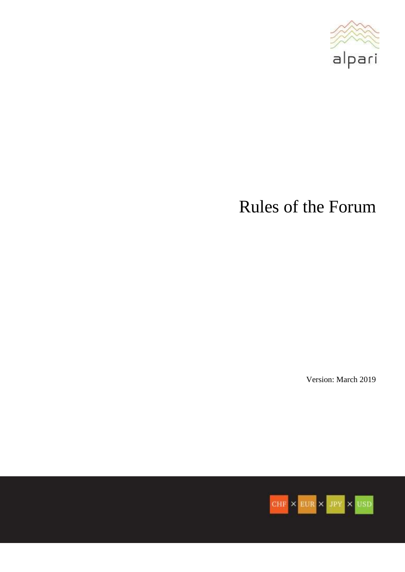

# Rules of the Forum

Version: March 2019

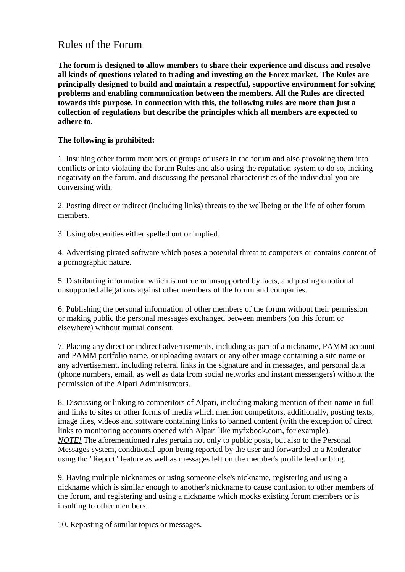# Rules of the Forum

**The forum is designed to allow members to share their experience and discuss and resolve all kinds of questions related to trading and investing on the Forex market. The Rules are principally designed to build and maintain a respectful, supportive environment for solving problems and enabling communication between the members. All the Rules are directed towards this purpose. In connection with this, the following rules are more than just a collection of regulations but describe the principles which all members are expected to adhere to.**

## **The following is prohibited:**

1. Insulting other forum members or groups of users in the forum and also provoking them into conflicts or into violating the forum Rules and also using the reputation system to do so, inciting negativity on the forum, and discussing the personal characteristics of the individual you are conversing with.

2. Posting direct or indirect (including links) threats to the wellbeing or the life of other forum members.

3. Using obscenities either spelled out or implied.

4. Advertising pirated software which poses a potential threat to computers or contains content of a pornographic nature.

5. Distributing information which is untrue or unsupported by facts, and posting emotional unsupported allegations against other members of the forum and companies.

6. Publishing the personal information of other members of the forum without their permission or making public the personal messages exchanged between members (on this forum or elsewhere) without mutual consent.

7. Placing any direct or indirect advertisements, including as part of a nickname, PAMM account and PAMM portfolio name, or uploading avatars or any other image containing a site name or any advertisement, including referral links in the signature and in messages, and personal data (phone numbers, email, as well as data from social networks and instant messengers) without the permission of the Alpari Administrators.

8. Discussing or linking to competitors of Alpari, including making mention of their name in full and links to sites or other forms of media which mention competitors, additionally, posting texts, image files, videos and software containing links to banned content (with the exception of direct links to monitoring accounts opened with Alpari like myfxbook.com, for example). *NOTE!* The aforementioned rules pertain not only to public posts, but also to the Personal Messages system, conditional upon being reported by the user and forwarded to a Moderator using thе "Report" feature as well as messages left on the member's profile feed or blog.

9. Having multiple nicknames or using someone else's nickname, registering and using a nickname which is similar enough to another's nickname to cause confusion to other members of the forum, and registering and using a nickname which mocks existing forum members or is insulting to other members.

10. Reposting of similar topics or messages.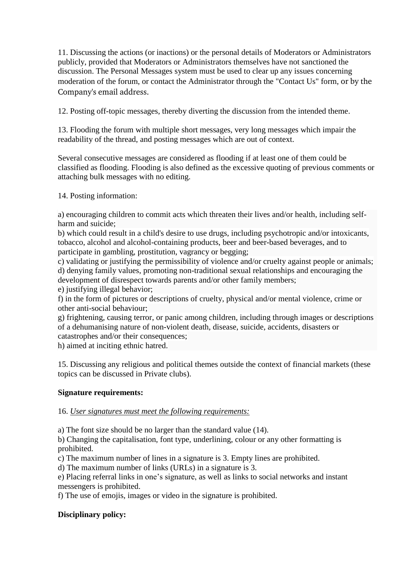11. Discussing the actions (or inactions) or the personal details of Moderators or Administrators publicly, provided that Moderators or Administrators themselves have not sanctioned the discussion. The Personal Messages system must be used to clear up any issues concerning moderation of the forum, or contact the Administrator through the "Contact Us" form, or by the Company's email address.

12. Posting off-topic messages, thereby diverting the discussion from the intended theme.

13. Flooding the forum with multiple short messages, very long messages which impair the readability of the thread, and posting messages which are out of context.

Several consecutive messages are considered as flooding if at least one of them could be classified as flooding. Flooding is also defined as the excessive quoting of previous comments or attaching bulk messages with no editing.

14. Posting information:

a) encouraging children to commit acts which threaten their lives and/or health, including selfharm and suicide;

b) which could result in a child's desire to use drugs, including psychotropic and/or intoxicants, tobacco, alcohol and alcohol-containing products, beer and beer-based beverages, and to participate in gambling, prostitution, vagrancy or begging;

c) validating or justifying the permissibility of violence and/or cruelty against people or animals; d) denying family values, promoting non-traditional sexual relationships and encouraging the development of disrespect towards parents and/or other family members;

e) justifying illegal behavior;

f) in the form of pictures or descriptions of cruelty, physical and/or mental violence, crime or other anti-social behaviour;

g) frightening, causing terror, or panic among children, including through images or descriptions of a dehumanising nature of non-violent death, disease, suicide, accidents, disasters or catastrophes and/or their consequences;

h) aimed at inciting ethnic hatred.

15. Discussing any religious and political themes outside the context of financial markets (these topics can be discussed in Private clubs).

## **Signature requirements:**

#### 16. *User signatures must meet the following requirements:*

a) The font size should be no larger than the standard value (14).

b) Changing the capitalisation, font type, underlining, colour or any other formatting is prohibited.

c) The maximum number of lines in a signature is 3. Empty lines are prohibited.

d) The maximum number of links (URLs) in a signature is 3.

e) Placing referral links in one's signature, as well as links to social networks and instant messengers is prohibited.

f) The use of emojis, images or video in the signature is prohibited.

## **Disciplinary policy:**